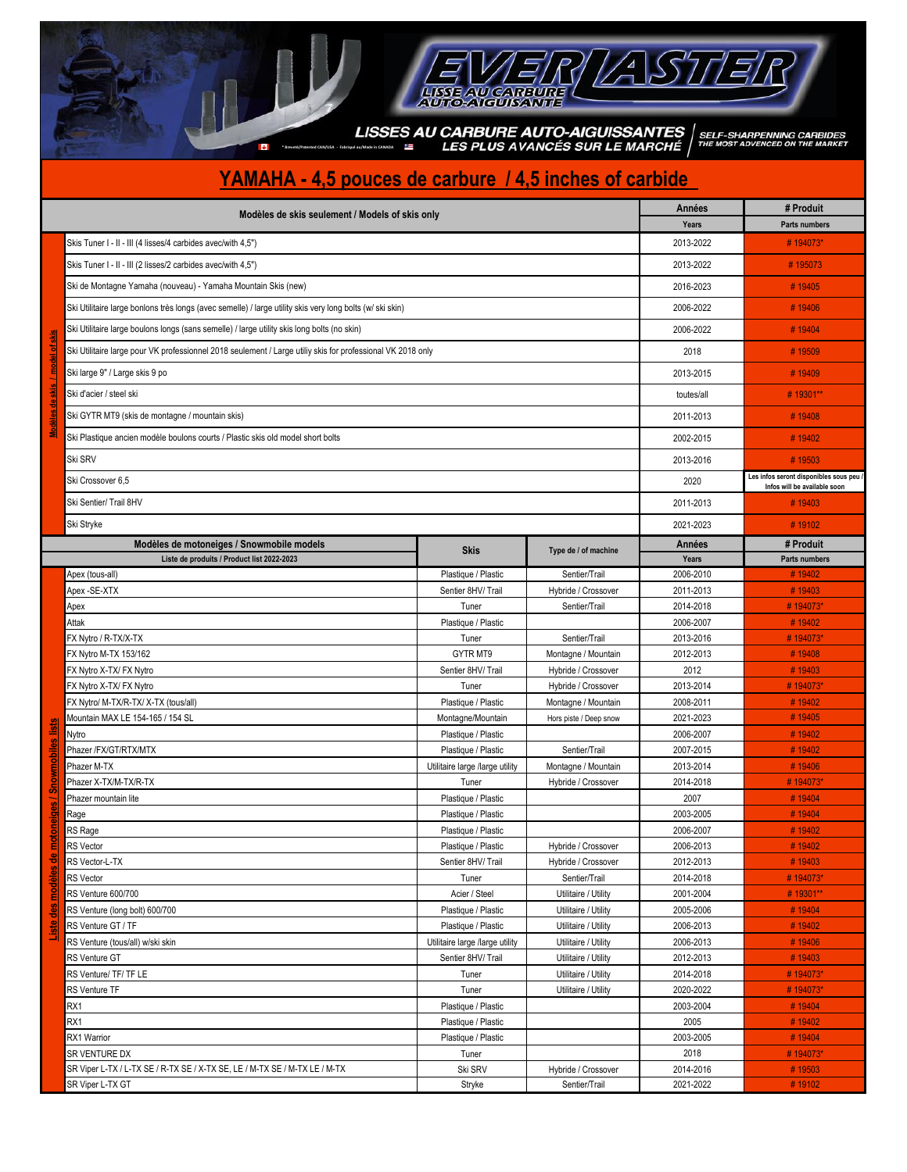## EVER/AST

**\* Breveté/Patented CAN/USA - Fabriqué au/Made in CANADA**

## **YAMAHA - 4,5 pouces de carbure / 4,5 inches of carbide**

þ

| Modèles de skis seulement / Models of skis only |                                                                                                             |                                                      |                                              |                        | # Produit                               |
|-------------------------------------------------|-------------------------------------------------------------------------------------------------------------|------------------------------------------------------|----------------------------------------------|------------------------|-----------------------------------------|
|                                                 | Skis Tuner I - II - III (4 lisses/4 carbides avec/with 4,5")                                                | Years<br>2013-2022                                   | Parts numbers<br>#194073*                    |                        |                                         |
|                                                 |                                                                                                             |                                                      |                                              |                        |                                         |
|                                                 | Skis Tuner I - II - III (2 lisses/2 carbides avec/with 4,5")                                                |                                                      |                                              | 2013-2022              | #195073                                 |
|                                                 | Ski de Montagne Yamaha (nouveau) - Yamaha Mountain Skis (new)                                               |                                                      |                                              | 2016-2023              | #19405                                  |
|                                                 | Ski Utilitaire large bonlons très longs (avec semelle) / large utility skis very long bolts (w/ ski skin)   |                                                      |                                              | 2006-2022              | #19406                                  |
|                                                 | Ski Utilitaire large boulons longs (sans semelle) / large utility skis long bolts (no skin)                 |                                                      |                                              | 2006-2022              | #19404                                  |
| <u>I of skis</u>                                | Ski Utilitaire large pour VK professionnel 2018 seulement / Large utiliy skis for professional VK 2018 only |                                                      |                                              | 2018                   | #19509                                  |
|                                                 | Ski large 9" / Large skis 9 po                                                                              |                                                      |                                              | 2013-2015              | #19409                                  |
|                                                 | Ski d'acier / steel ski                                                                                     |                                                      |                                              | toutes/all             | #19301**                                |
|                                                 | Ski GYTR MT9 (skis de montagne / mountain skis)                                                             |                                                      |                                              | 2011-2013              | #19408                                  |
|                                                 | Ski Plastique ancien modèle boulons courts / Plastic skis old model short bolts                             |                                                      |                                              | 2002-2015              | #19402                                  |
|                                                 | Ski SRV                                                                                                     |                                                      |                                              | 2013-2016              | #19503                                  |
|                                                 | Ski Crossover 6,5                                                                                           |                                                      |                                              | 2020                   | Les infos seront disponibles sous peu / |
|                                                 | Ski Sentier/ Trail 8HV                                                                                      |                                                      |                                              | 2011-2013              | Infos will be available soon<br>#19403  |
|                                                 | Ski Stryke                                                                                                  |                                                      |                                              | 2021-2023              | #19102                                  |
|                                                 |                                                                                                             |                                                      |                                              |                        |                                         |
|                                                 | Modèles de motoneiges / Snowmobile models<br>Liste de produits / Product list 2022-2023                     | <b>Skis</b>                                          | Type de / of machine                         | Années<br>Years        | # Produit<br>Parts numbers              |
|                                                 | Apex (tous-all)                                                                                             | Plastique / Plastic                                  | Sentier/Trail                                | 2006-2010              | #19402                                  |
|                                                 | Apex -SE-XTX                                                                                                | Sentier 8HV/ Trail                                   | Hybride / Crossover                          | 2011-2013              | #19403                                  |
|                                                 | Apex                                                                                                        | Tuner                                                | Sentier/Trail                                | 2014-2018              | #194073*                                |
|                                                 | Attak                                                                                                       | Plastique / Plastic                                  |                                              | 2006-2007              | #19402                                  |
|                                                 | FX Nytro / R-TX/X-TX                                                                                        | Tuner                                                | Sentier/Trail                                | 2013-2016              | #194073*                                |
|                                                 | FX Nytro M-TX 153/162                                                                                       | GYTR MT9                                             | Montagne / Mountain                          | 2012-2013              | #19408                                  |
|                                                 | FX Nytro X-TX/ FX Nytro                                                                                     | Sentier 8HV/Trail                                    | Hybride / Crossover                          | 2012                   | #19403                                  |
|                                                 | FX Nytro X-TX/ FX Nytro                                                                                     | Tuner                                                | Hybride / Crossover                          | 2013-2014              | #194073*                                |
|                                                 | FX Nytro/ M-TX/R-TX/ X-TX (tous/all)                                                                        | Plastique / Plastic                                  | Montagne / Mountain                          | 2008-2011              | #19402                                  |
|                                                 | Mountain MAX LE 154-165 / 154 SL                                                                            | Montagne/Mountain                                    | Hors piste / Deep snow                       | 2021-2023              | #19405                                  |
| motoneiges / Snowmobiles lists                  | Nytro                                                                                                       | Plastique / Plastic                                  |                                              | 2006-2007              | #19402                                  |
|                                                 | Phazer /FX/GT/RTX/MTX                                                                                       | Plastique / Plastic                                  | Sentier/Trail                                | 2007-2015              | #19402                                  |
|                                                 | Phazer M-TX                                                                                                 | Utilitaire large /large utility                      | Montagne / Mountain                          | 2013-2014              | #19406                                  |
|                                                 | Phazer X-TX/M-TX/R-TX                                                                                       | Tuner                                                | Hybride / Crossover                          | 2014-2018              | #194073*                                |
|                                                 | Phazer mountain lite                                                                                        | Plastique / Plastic                                  |                                              | 2007                   | #19404                                  |
|                                                 | Rage                                                                                                        | Plastique / Plastic                                  |                                              | 2003-2005              | #19404                                  |
|                                                 | RS Rage                                                                                                     | Plastique / Plastic                                  |                                              | 2006-2007              | #19402                                  |
|                                                 | <b>RS</b> Vector                                                                                            | Plastique / Plastic                                  | Hybride / Crossover                          | 2006-2013              | #19402                                  |
|                                                 | RS Vector-L-TX                                                                                              | Sentier 8HV/Trail                                    | Hybride / Crossover                          | 2012-2013              | #19403                                  |
|                                                 | <b>RS</b> Vector                                                                                            | Tuner                                                | Sentier/Trail                                | 2014-2018              | #194073*                                |
|                                                 | RS Venture 600/700                                                                                          | Acier / Steel                                        | Utilitaire / Utility                         | 2001-2004              | #19301**                                |
|                                                 | RS Venture (long bolt) 600/700                                                                              | Plastique / Plastic                                  | Utilitaire / Utility                         | 2005-2006              | #19404                                  |
| Liste des modèles d                             | RS Venture GT / TF                                                                                          | Plastique / Plastic                                  | Utilitaire / Utility                         | 2006-2013              | #19402                                  |
|                                                 | RS Venture (tous/all) w/ski skin<br>RS Venture GT                                                           | Utilitaire large /large utility<br>Sentier 8HV/Trail | Utilitaire / Utility                         | 2006-2013              | #19406                                  |
|                                                 | RS Venture/ TF/ TF LE                                                                                       | Tuner                                                | Utilitaire / Utility<br>Utilitaire / Utility | 2012-2013<br>2014-2018 | #19403<br>#194073*                      |
|                                                 | RS Venture TF                                                                                               | Tuner                                                | Utilitaire / Utility                         | 2020-2022              | #194073*                                |
|                                                 | RX1                                                                                                         | Plastique / Plastic                                  |                                              | 2003-2004              | #19404                                  |
|                                                 | RX1                                                                                                         | Plastique / Plastic                                  |                                              | 2005                   | #19402                                  |
|                                                 | RX1 Warrior                                                                                                 | Plastique / Plastic                                  |                                              | 2003-2005              | #19404                                  |
|                                                 | SR VENTURE DX                                                                                               | Tuner                                                |                                              | 2018                   | #194073*                                |
|                                                 | SR Viper L-TX / L-TX SE / R-TX SE / X-TX SE, LE / M-TX SE / M-TX LE / M-TX                                  | Ski SRV                                              | Hybride / Crossover                          | 2014-2016              | #19503                                  |
|                                                 | SR Viper L-TX GT                                                                                            | Stryke                                               | Sentier/Trail                                | 2021-2022              | #19102                                  |